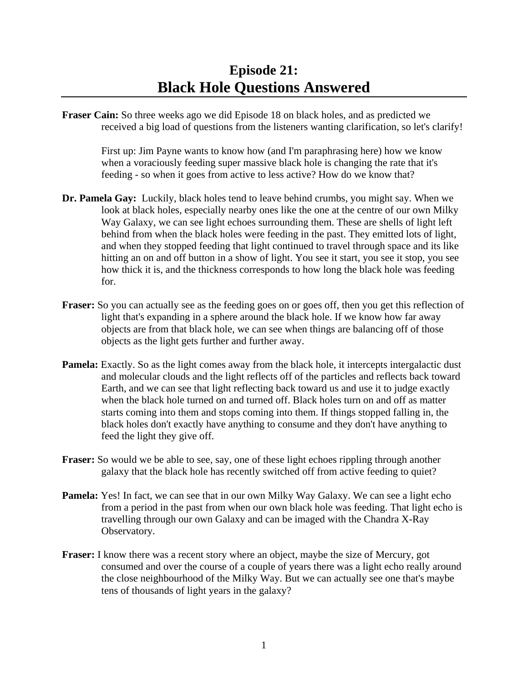**Fraser Cain:** So three weeks ago we did Episode 18 on black holes, and as predicted we received a big load of questions from the listeners wanting clarification, so let's clarify!

 First up: Jim Payne wants to know how (and I'm paraphrasing here) how we know when a voraciously feeding super massive black hole is changing the rate that it's feeding - so when it goes from active to less active? How do we know that?

- **Dr. Pamela Gay:** Luckily, black holes tend to leave behind crumbs, you might say. When we look at black holes, especially nearby ones like the one at the centre of our own Milky Way Galaxy, we can see light echoes surrounding them. These are shells of light left behind from when the black holes were feeding in the past. They emitted lots of light, and when they stopped feeding that light continued to travel through space and its like hitting an on and off button in a show of light. You see it start, you see it stop, you see how thick it is, and the thickness corresponds to how long the black hole was feeding for.
- **Fraser:** So you can actually see as the feeding goes on or goes off, then you get this reflection of light that's expanding in a sphere around the black hole. If we know how far away objects are from that black hole, we can see when things are balancing off of those objects as the light gets further and further away.
- **Pamela:** Exactly. So as the light comes away from the black hole, it intercepts intergalactic dust and molecular clouds and the light reflects off of the particles and reflects back toward Earth, and we can see that light reflecting back toward us and use it to judge exactly when the black hole turned on and turned off. Black holes turn on and off as matter starts coming into them and stops coming into them. If things stopped falling in, the black holes don't exactly have anything to consume and they don't have anything to feed the light they give off.
- **Fraser:** So would we be able to see, say, one of these light echoes rippling through another galaxy that the black hole has recently switched off from active feeding to quiet?
- **Pamela:** Yes! In fact, we can see that in our own Milky Way Galaxy. We can see a light echo from a period in the past from when our own black hole was feeding. That light echo is travelling through our own Galaxy and can be imaged with the Chandra X-Ray Observatory.
- **Fraser:** I know there was a recent story where an object, maybe the size of Mercury, got consumed and over the course of a couple of years there was a light echo really around the close neighbourhood of the Milky Way. But we can actually see one that's maybe tens of thousands of light years in the galaxy?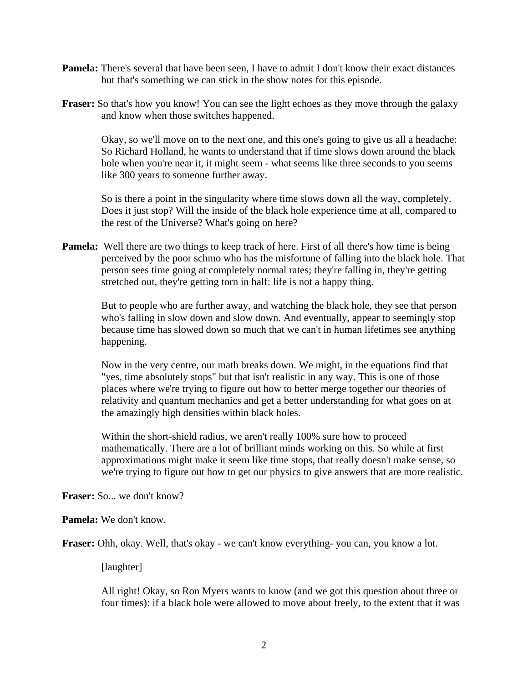- **Pamela:** There's several that have been seen, I have to admit I don't know their exact distances but that's something we can stick in the show notes for this episode.
- **Fraser:** So that's how you know! You can see the light echoes as they move through the galaxy and know when those switches happened.

 Okay, so we'll move on to the next one, and this one's going to give us all a headache: So Richard Holland, he wants to understand that if time slows down around the black hole when you're near it, it might seem - what seems like three seconds to you seems like 300 years to someone further away.

 So is there a point in the singularity where time slows down all the way, completely. Does it just stop? Will the inside of the black hole experience time at all, compared to the rest of the Universe? What's going on here?

**Pamela:** Well there are two things to keep track of here. First of all there's how time is being perceived by the poor schmo who has the misfortune of falling into the black hole. That person sees time going at completely normal rates; they're falling in, they're getting stretched out, they're getting torn in half: life is not a happy thing.

 But to people who are further away, and watching the black hole, they see that person who's falling in slow down and slow down. And eventually, appear to seemingly stop because time has slowed down so much that we can't in human lifetimes see anything happening.

 Now in the very centre, our math breaks down. We might, in the equations find that "yes, time absolutely stops" but that isn't realistic in any way. This is one of those places where we're trying to figure out how to better merge together our theories of relativity and quantum mechanics and get a better understanding for what goes on at the amazingly high densities within black holes.

 Within the short-shield radius, we aren't really 100% sure how to proceed mathematically. There are a lot of brilliant minds working on this. So while at first approximations might make it seem like time stops, that really doesn't make sense, so we're trying to figure out how to get our physics to give answers that are more realistic.

**Fraser:** So... we don't know?

**Pamela:** We don't know.

**Fraser:** Ohh, okay. Well, that's okay - we can't know everything- you can, you know a lot.

[laughter]

 All right! Okay, so Ron Myers wants to know (and we got this question about three or four times): if a black hole were allowed to move about freely, to the extent that it was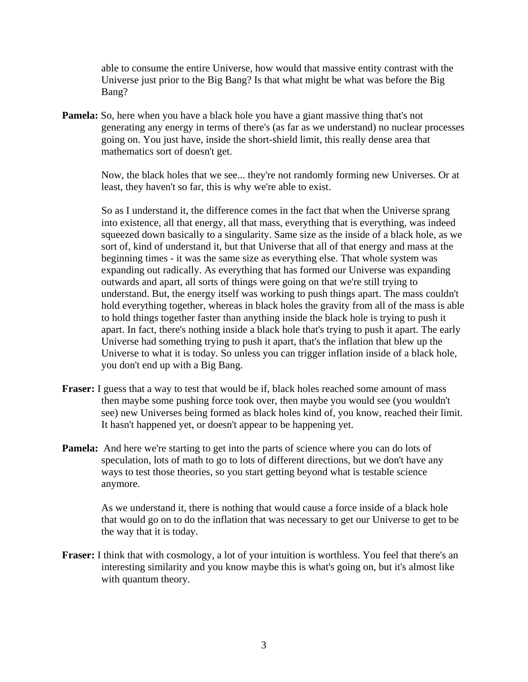able to consume the entire Universe, how would that massive entity contrast with the Universe just prior to the Big Bang? Is that what might be what was before the Big Bang?

**Pamela:** So, here when you have a black hole you have a giant massive thing that's not generating any energy in terms of there's (as far as we understand) no nuclear processes going on. You just have, inside the short-shield limit, this really dense area that mathematics sort of doesn't get.

 Now, the black holes that we see... they're not randomly forming new Universes. Or at least, they haven't so far, this is why we're able to exist.

 So as I understand it, the difference comes in the fact that when the Universe sprang into existence, all that energy, all that mass, everything that is everything, was indeed squeezed down basically to a singularity. Same size as the inside of a black hole, as we sort of, kind of understand it, but that Universe that all of that energy and mass at the beginning times - it was the same size as everything else. That whole system was expanding out radically. As everything that has formed our Universe was expanding outwards and apart, all sorts of things were going on that we're still trying to understand. But, the energy itself was working to push things apart. The mass couldn't hold everything together, whereas in black holes the gravity from all of the mass is able to hold things together faster than anything inside the black hole is trying to push it apart. In fact, there's nothing inside a black hole that's trying to push it apart. The early Universe had something trying to push it apart, that's the inflation that blew up the Universe to what it is today. So unless you can trigger inflation inside of a black hole, you don't end up with a Big Bang.

- **Fraser:** I guess that a way to test that would be if, black holes reached some amount of mass then maybe some pushing force took over, then maybe you would see (you wouldn't see) new Universes being formed as black holes kind of, you know, reached their limit. It hasn't happened yet, or doesn't appear to be happening yet.
- **Pamela:** And here we're starting to get into the parts of science where you can do lots of speculation, lots of math to go to lots of different directions, but we don't have any ways to test those theories, so you start getting beyond what is testable science anymore.

 As we understand it, there is nothing that would cause a force inside of a black hole that would go on to do the inflation that was necessary to get our Universe to get to be the way that it is today.

**Fraser:** I think that with cosmology, a lot of your intuition is worthless. You feel that there's an interesting similarity and you know maybe this is what's going on, but it's almost like with quantum theory.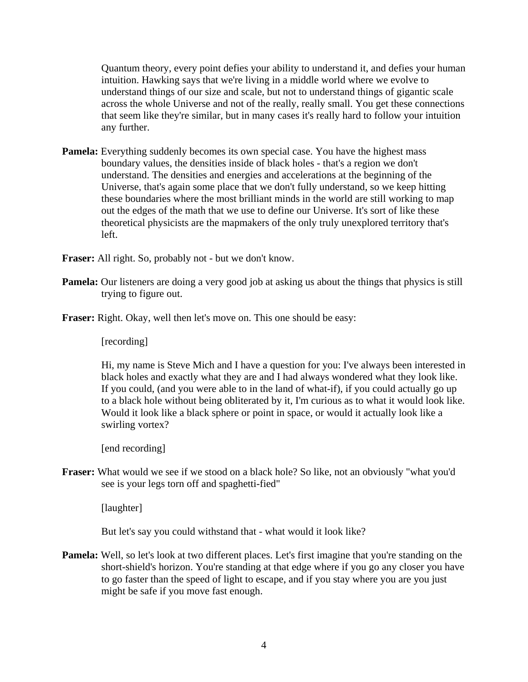Quantum theory, every point defies your ability to understand it, and defies your human intuition. Hawking says that we're living in a middle world where we evolve to understand things of our size and scale, but not to understand things of gigantic scale across the whole Universe and not of the really, really small. You get these connections that seem like they're similar, but in many cases it's really hard to follow your intuition any further.

**Pamela:** Everything suddenly becomes its own special case. You have the highest mass boundary values, the densities inside of black holes - that's a region we don't understand. The densities and energies and accelerations at the beginning of the Universe, that's again some place that we don't fully understand, so we keep hitting these boundaries where the most brilliant minds in the world are still working to map out the edges of the math that we use to define our Universe. It's sort of like these theoretical physicists are the mapmakers of the only truly unexplored territory that's left.

**Fraser:** All right. So, probably not - but we don't know.

- **Pamela:** Our listeners are doing a very good job at asking us about the things that physics is still trying to figure out.
- **Fraser:** Right. Okay, well then let's move on. This one should be easy:

[recording]

 Hi, my name is Steve Mich and I have a question for you: I've always been interested in black holes and exactly what they are and I had always wondered what they look like. If you could, (and you were able to in the land of what-if), if you could actually go up to a black hole without being obliterated by it, I'm curious as to what it would look like. Would it look like a black sphere or point in space, or would it actually look like a swirling vortex?

[end recording]

**Fraser:** What would we see if we stood on a black hole? So like, not an obviously "what you'd see is your legs torn off and spaghetti-fied"

[laughter]

But let's say you could withstand that - what would it look like?

**Pamela:** Well, so let's look at two different places. Let's first imagine that you're standing on the short-shield's horizon. You're standing at that edge where if you go any closer you have to go faster than the speed of light to escape, and if you stay where you are you just might be safe if you move fast enough.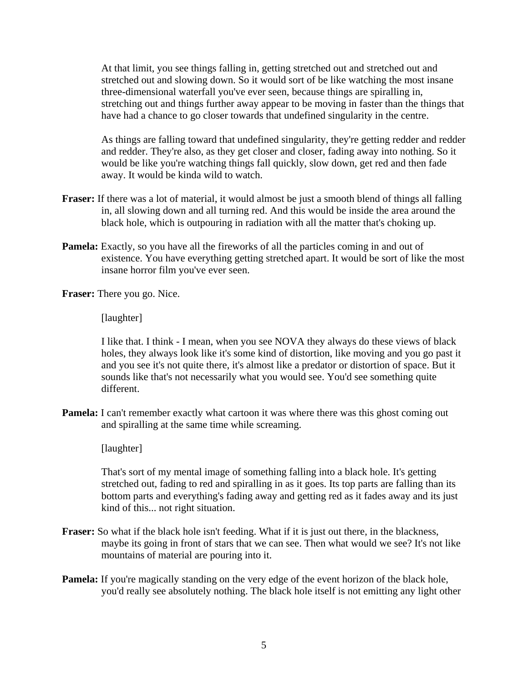At that limit, you see things falling in, getting stretched out and stretched out and stretched out and slowing down. So it would sort of be like watching the most insane three-dimensional waterfall you've ever seen, because things are spiralling in, stretching out and things further away appear to be moving in faster than the things that have had a chance to go closer towards that undefined singularity in the centre.

 As things are falling toward that undefined singularity, they're getting redder and redder and redder. They're also, as they get closer and closer, fading away into nothing. So it would be like you're watching things fall quickly, slow down, get red and then fade away. It would be kinda wild to watch.

- **Fraser:** If there was a lot of material, it would almost be just a smooth blend of things all falling in, all slowing down and all turning red. And this would be inside the area around the black hole, which is outpouring in radiation with all the matter that's choking up.
- **Pamela:** Exactly, so you have all the fireworks of all the particles coming in and out of existence. You have everything getting stretched apart. It would be sort of like the most insane horror film you've ever seen.

**Fraser:** There you go. Nice.

[laughter]

 I like that. I think - I mean, when you see NOVA they always do these views of black holes, they always look like it's some kind of distortion, like moving and you go past it and you see it's not quite there, it's almost like a predator or distortion of space. But it sounds like that's not necessarily what you would see. You'd see something quite different.

**Pamela:** I can't remember exactly what cartoon it was where there was this ghost coming out and spiralling at the same time while screaming.

[laughter]

 That's sort of my mental image of something falling into a black hole. It's getting stretched out, fading to red and spiralling in as it goes. Its top parts are falling than its bottom parts and everything's fading away and getting red as it fades away and its just kind of this... not right situation.

- **Fraser:** So what if the black hole isn't feeding. What if it is just out there, in the blackness, maybe its going in front of stars that we can see. Then what would we see? It's not like mountains of material are pouring into it.
- **Pamela:** If you're magically standing on the very edge of the event horizon of the black hole, you'd really see absolutely nothing. The black hole itself is not emitting any light other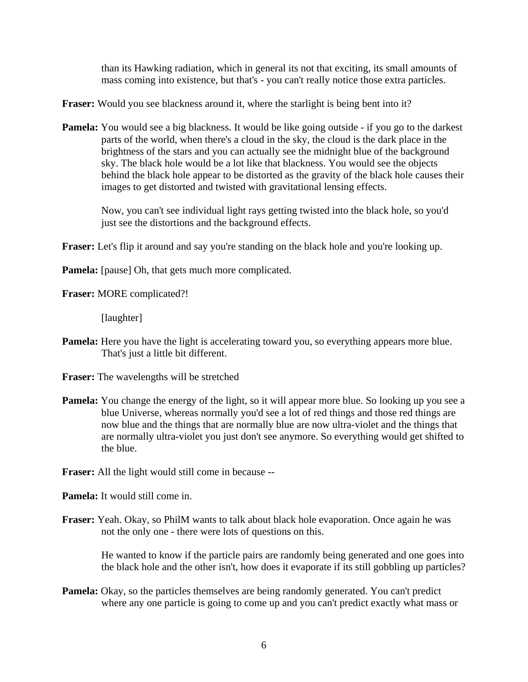than its Hawking radiation, which in general its not that exciting, its small amounts of mass coming into existence, but that's - you can't really notice those extra particles.

**Fraser:** Would you see blackness around it, where the starlight is being bent into it?

**Pamela:** You would see a big blackness. It would be like going outside - if you go to the darkest parts of the world, when there's a cloud in the sky, the cloud is the dark place in the brightness of the stars and you can actually see the midnight blue of the background sky. The black hole would be a lot like that blackness. You would see the objects behind the black hole appear to be distorted as the gravity of the black hole causes their images to get distorted and twisted with gravitational lensing effects.

 Now, you can't see individual light rays getting twisted into the black hole, so you'd just see the distortions and the background effects.

**Fraser:** Let's flip it around and say you're standing on the black hole and you're looking up.

**Pamela:** [pause] Oh, that gets much more complicated.

**Fraser:** MORE complicated?!

[laughter]

**Pamela:** Here you have the light is accelerating toward you, so everything appears more blue. That's just a little bit different.

**Fraser:** The wavelengths will be stretched

**Pamela:** You change the energy of the light, so it will appear more blue. So looking up you see a blue Universe, whereas normally you'd see a lot of red things and those red things are now blue and the things that are normally blue are now ultra-violet and the things that are normally ultra-violet you just don't see anymore. So everything would get shifted to the blue.

**Fraser:** All the light would still come in because --

**Pamela:** It would still come in.

**Fraser:** Yeah. Okay, so PhilM wants to talk about black hole evaporation. Once again he was not the only one - there were lots of questions on this.

> He wanted to know if the particle pairs are randomly being generated and one goes into the black hole and the other isn't, how does it evaporate if its still gobbling up particles?

**Pamela:** Okay, so the particles themselves are being randomly generated. You can't predict where any one particle is going to come up and you can't predict exactly what mass or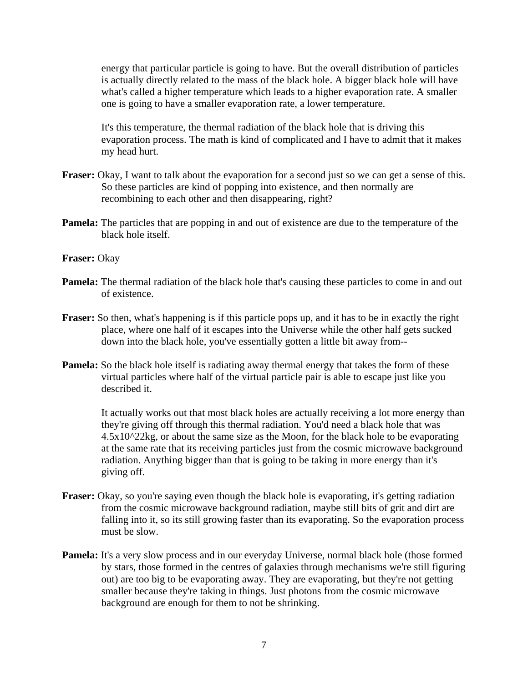energy that particular particle is going to have. But the overall distribution of particles is actually directly related to the mass of the black hole. A bigger black hole will have what's called a higher temperature which leads to a higher evaporation rate. A smaller one is going to have a smaller evaporation rate, a lower temperature.

 It's this temperature, the thermal radiation of the black hole that is driving this evaporation process. The math is kind of complicated and I have to admit that it makes my head hurt.

- **Fraser:** Okay, I want to talk about the evaporation for a second just so we can get a sense of this. So these particles are kind of popping into existence, and then normally are recombining to each other and then disappearing, right?
- **Pamela:** The particles that are popping in and out of existence are due to the temperature of the black hole itself.

## **Fraser:** Okay

- **Pamela:** The thermal radiation of the black hole that's causing these particles to come in and out of existence.
- **Fraser:** So then, what's happening is if this particle pops up, and it has to be in exactly the right place, where one half of it escapes into the Universe while the other half gets sucked down into the black hole, you've essentially gotten a little bit away from--
- **Pamela:** So the black hole itself is radiating away thermal energy that takes the form of these virtual particles where half of the virtual particle pair is able to escape just like you described it.

 It actually works out that most black holes are actually receiving a lot more energy than they're giving off through this thermal radiation. You'd need a black hole that was  $4.5x10^22$ kg, or about the same size as the Moon, for the black hole to be evaporating at the same rate that its receiving particles just from the cosmic microwave background radiation. Anything bigger than that is going to be taking in more energy than it's giving off.

- **Fraser:** Okay, so you're saying even though the black hole is evaporating, it's getting radiation from the cosmic microwave background radiation, maybe still bits of grit and dirt are falling into it, so its still growing faster than its evaporating. So the evaporation process must be slow.
- **Pamela:** It's a very slow process and in our everyday Universe, normal black hole (those formed by stars, those formed in the centres of galaxies through mechanisms we're still figuring out) are too big to be evaporating away. They are evaporating, but they're not getting smaller because they're taking in things. Just photons from the cosmic microwave background are enough for them to not be shrinking.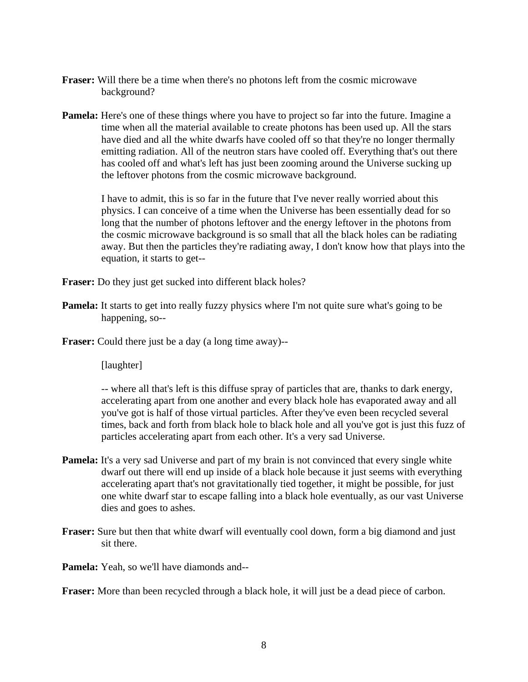- **Fraser:** Will there be a time when there's no photons left from the cosmic microwave background?
- **Pamela:** Here's one of these things where you have to project so far into the future. Imagine a time when all the material available to create photons has been used up. All the stars have died and all the white dwarfs have cooled off so that they're no longer thermally emitting radiation. All of the neutron stars have cooled off. Everything that's out there has cooled off and what's left has just been zooming around the Universe sucking up the leftover photons from the cosmic microwave background.

 I have to admit, this is so far in the future that I've never really worried about this physics. I can conceive of a time when the Universe has been essentially dead for so long that the number of photons leftover and the energy leftover in the photons from the cosmic microwave background is so small that all the black holes can be radiating away. But then the particles they're radiating away, I don't know how that plays into the equation, it starts to get--

**Fraser:** Do they just get sucked into different black holes?

**Pamela:** It starts to get into really fuzzy physics where I'm not quite sure what's going to be happening, so--

**Fraser:** Could there just be a day (a long time away)--

[laughter]

 -- where all that's left is this diffuse spray of particles that are, thanks to dark energy, accelerating apart from one another and every black hole has evaporated away and all you've got is half of those virtual particles. After they've even been recycled several times, back and forth from black hole to black hole and all you've got is just this fuzz of particles accelerating apart from each other. It's a very sad Universe.

- **Pamela:** It's a very sad Universe and part of my brain is not convinced that every single white dwarf out there will end up inside of a black hole because it just seems with everything accelerating apart that's not gravitationally tied together, it might be possible, for just one white dwarf star to escape falling into a black hole eventually, as our vast Universe dies and goes to ashes.
- **Fraser:** Sure but then that white dwarf will eventually cool down, form a big diamond and just sit there.

**Pamela:** Yeah, so we'll have diamonds and--

**Fraser:** More than been recycled through a black hole, it will just be a dead piece of carbon.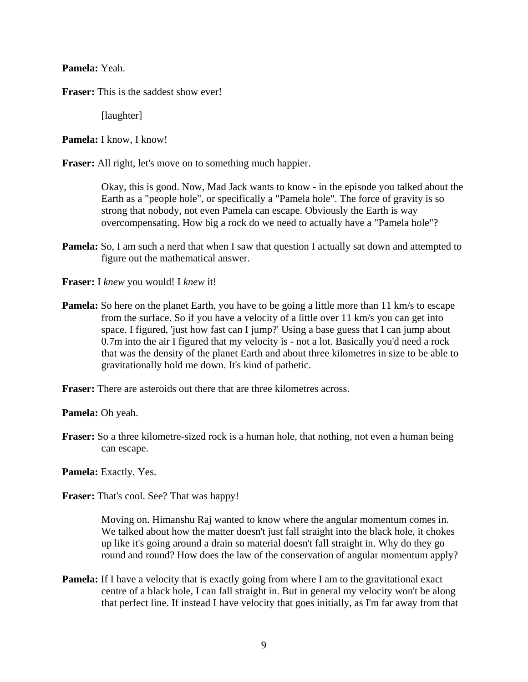**Pamela:** Yeah.

**Fraser:** This is the saddest show ever!

[laughter]

**Pamela:** I know, I know!

**Fraser:** All right, let's move on to something much happier.

 Okay, this is good. Now, Mad Jack wants to know - in the episode you talked about the Earth as a "people hole", or specifically a "Pamela hole". The force of gravity is so strong that nobody, not even Pamela can escape. Obviously the Earth is way overcompensating. How big a rock do we need to actually have a "Pamela hole"?

**Pamela:** So, I am such a nerd that when I saw that question I actually sat down and attempted to figure out the mathematical answer.

**Fraser:** I *knew* you would! I *knew* it!

**Pamela:** So here on the planet Earth, you have to be going a little more than 11 km/s to escape from the surface. So if you have a velocity of a little over 11 km/s you can get into space. I figured, 'just how fast can I jump?' Using a base guess that I can jump about 0.7m into the air I figured that my velocity is - not a lot. Basically you'd need a rock that was the density of the planet Earth and about three kilometres in size to be able to gravitationally hold me down. It's kind of pathetic.

**Fraser:** There are asteroids out there that are three kilometres across.

**Pamela:** Oh yeah.

**Fraser:** So a three kilometre-sized rock is a human hole, that nothing, not even a human being can escape.

**Pamela:** Exactly. Yes.

**Fraser:** That's cool. See? That was happy!

 Moving on. Himanshu Raj wanted to know where the angular momentum comes in. We talked about how the matter doesn't just fall straight into the black hole, it chokes up like it's going around a drain so material doesn't fall straight in. Why do they go round and round? How does the law of the conservation of angular momentum apply?

**Pamela:** If I have a velocity that is exactly going from where I am to the gravitational exact centre of a black hole, I can fall straight in. But in general my velocity won't be along that perfect line. If instead I have velocity that goes initially, as I'm far away from that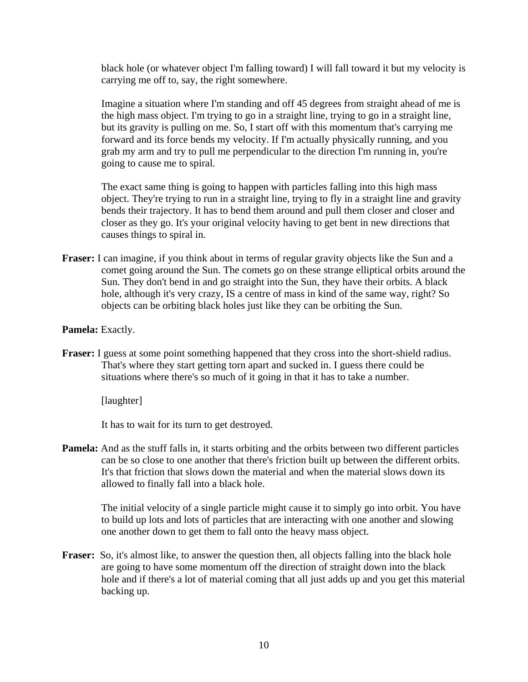black hole (or whatever object I'm falling toward) I will fall toward it but my velocity is carrying me off to, say, the right somewhere.

 Imagine a situation where I'm standing and off 45 degrees from straight ahead of me is the high mass object. I'm trying to go in a straight line, trying to go in a straight line, but its gravity is pulling on me. So, I start off with this momentum that's carrying me forward and its force bends my velocity. If I'm actually physically running, and you grab my arm and try to pull me perpendicular to the direction I'm running in, you're going to cause me to spiral.

 The exact same thing is going to happen with particles falling into this high mass object. They're trying to run in a straight line, trying to fly in a straight line and gravity bends their trajectory. It has to bend them around and pull them closer and closer and closer as they go. It's your original velocity having to get bent in new directions that causes things to spiral in.

**Fraser:** I can imagine, if you think about in terms of regular gravity objects like the Sun and a comet going around the Sun. The comets go on these strange elliptical orbits around the Sun. They don't bend in and go straight into the Sun, they have their orbits. A black hole, although it's very crazy, IS a centre of mass in kind of the same way, right? So objects can be orbiting black holes just like they can be orbiting the Sun.

## **Pamela:** Exactly.

**Fraser:** I guess at some point something happened that they cross into the short-shield radius. That's where they start getting torn apart and sucked in. I guess there could be situations where there's so much of it going in that it has to take a number.

[laughter]

It has to wait for its turn to get destroyed.

**Pamela:** And as the stuff falls in, it starts orbiting and the orbits between two different particles can be so close to one another that there's friction built up between the different orbits. It's that friction that slows down the material and when the material slows down its allowed to finally fall into a black hole.

 The initial velocity of a single particle might cause it to simply go into orbit. You have to build up lots and lots of particles that are interacting with one another and slowing one another down to get them to fall onto the heavy mass object.

**Fraser:** So, it's almost like, to answer the question then, all objects falling into the black hole are going to have some momentum off the direction of straight down into the black hole and if there's a lot of material coming that all just adds up and you get this material backing up.